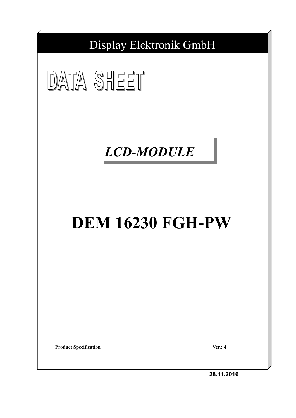Display Elektronik GmbH





# **DEM 16230 FGH-PW**

**Product Specification Ver.: 4** 

**28.11.2016**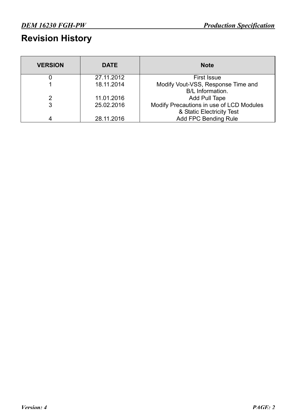# **Revision History**

| <b>VERSION</b> | <b>DATE</b> | <b>Note</b>                                                           |
|----------------|-------------|-----------------------------------------------------------------------|
|                | 27.11.2012  | <b>First Issue</b>                                                    |
|                | 18.11.2014  | Modify Vout-VSS, Response Time and<br>B/L Information.                |
| 2              | 11.01.2016  | Add Pull Tape                                                         |
| 3              | 25.02.2016  | Modify Precautions in use of LCD Modules<br>& Static Electricity Test |
| 4              | 28.11.2016  | <b>Add FPC Bending Rule</b>                                           |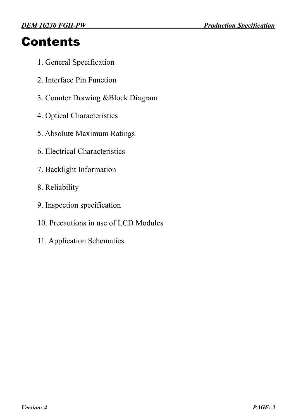# **Contents**

- 1. General Specification
- 2. Interface Pin Function
- 3. Counter Drawing &Block Diagram
- 4. Optical Characteristics
- 5. Absolute Maximum Ratings
- 6. Electrical Characteristics
- 7. Backlight Information
- 8. Reliability
- 9. Inspection specification
- 10. Precautions in use of LCD Modules
- 11. Application Schematics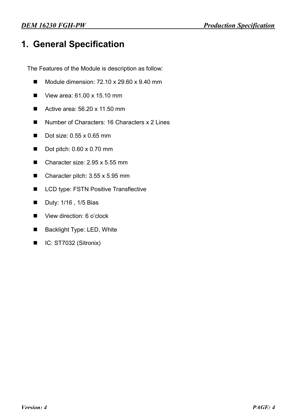#### **1. General Specification**

The Features of the Module is description as follow:

- $\blacksquare$  Module dimension: 72.10 x 29.60 x 9.40 mm
- View area:  $61.00 \times 15.10 \text{ mm}$
- Active area:  $56.20 \times 11.50 \text{ mm}$
- Number of Characters: 16 Characters x 2 Lines
- $\blacksquare$  Dot size: 0.55 x 0.65 mm
- $\blacksquare$  Dot pitch: 0.60 x 0.70 mm
- $\blacksquare$  Character size: 2.95 x 5.55 mm
- $\blacksquare$  Character pitch: 3.55 x 5.95 mm
- LCD type: FSTN Positive Transflective
- Duty: 1/16, 1/5 Bias
- View direction: 6 o'clock
- Backlight Type: LED, White
- $\blacksquare$  IC: ST7032 (Sitronix)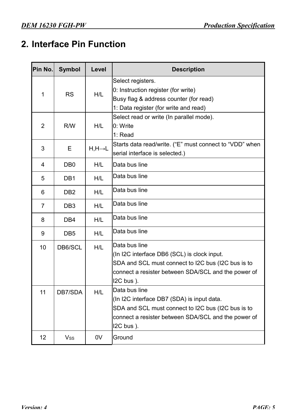## **2. Interface Pin Function**

| Pin No.        | <b>Symbol</b>    | Level                | <b>Description</b>                                      |
|----------------|------------------|----------------------|---------------------------------------------------------|
|                |                  |                      | Select registers.                                       |
| 1              | <b>RS</b>        | H/L                  | 0: Instruction register (for write)                     |
|                |                  |                      | Busy flag & address counter (for read)                  |
|                |                  |                      | 1: Data register (for write and read)                   |
|                |                  |                      | Select read or write (In parallel mode).                |
| $\overline{2}$ | R/W              | H/L                  | 0: Write                                                |
|                |                  |                      | 1: Read                                                 |
| 3              | Е                | $H, H \rightarrow L$ | Starts data read/write. ("E" must connect to "VDD" when |
|                |                  |                      | serial interface is selected.)                          |
| 4              | D <sub>B</sub> 0 | H/L                  | Data bus line                                           |
| 5              | DB <sub>1</sub>  | H/L                  | Data bus line                                           |
| 6              | D <sub>B2</sub>  | H/L                  | Data bus line                                           |
| $\overline{7}$ | DB <sub>3</sub>  | H/L                  | Data bus line                                           |
| 8              | DB <sub>4</sub>  | H/L                  | Data bus line                                           |
| 9              | DB <sub>5</sub>  | H/L                  | Data bus line                                           |
| 10             | DB6/SCL          | H/L                  | Data bus line                                           |
|                |                  |                      | (In I2C interface DB6 (SCL) is clock input.             |
|                |                  |                      | SDA and SCL must connect to I2C bus (I2C bus is to      |
|                |                  |                      | connect a resister between SDA/SCL and the power of     |
|                |                  |                      | $12C$ bus $)$ .                                         |
| 11             | DB7/SDA          | H/L                  | Data bus line                                           |
|                |                  |                      | (In I2C interface DB7 (SDA) is input data.              |
|                |                  |                      | SDA and SCL must connect to I2C bus (I2C bus is to      |
|                |                  |                      | connect a resister between SDA/SCL and the power of     |
|                |                  |                      | $12C$ bus $)$ .                                         |
| 12             | $V_{SS}$         | 0 <sub>V</sub>       | Ground                                                  |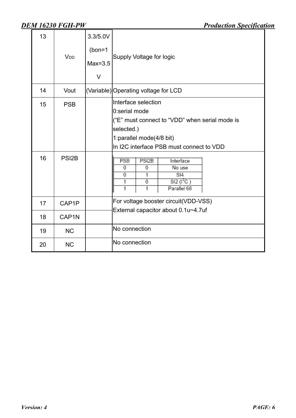| 13       | V <sub>DD</sub>                  | 3.3/5.0V<br>$(bon=1)$<br>$Max=3.5$<br>V | Supply Voltage for logic                                                                                                                                                                                                                                                                                            |
|----------|----------------------------------|-----------------------------------------|---------------------------------------------------------------------------------------------------------------------------------------------------------------------------------------------------------------------------------------------------------------------------------------------------------------------|
| 14       | Vout                             |                                         | (Variable) Operating voltage for LCD                                                                                                                                                                                                                                                                                |
| 15<br>16 | <b>PSB</b><br>PSI <sub>2</sub> B |                                         | Interface selection<br>0:serial mode<br>("E" must connect to "VDD" when serial mode is<br>selected.)<br>1: parallel mode(4/8 bit)<br>In I2C interface PSB must connect to VDD<br>PSI <sub>2B</sub><br><b>PSB</b><br>Interface<br>$\overline{0}$<br>0<br>No use<br>0<br>1<br>SI4<br>SI2 (I <sup>2</sup> C)<br>0<br>1 |
|          |                                  |                                         | 1<br>1<br>Parallel 68                                                                                                                                                                                                                                                                                               |
| 17       | CAP1P                            |                                         | For voltage booster circuit(VDD-VSS)<br>External capacitor about 0.1u~4.7uf                                                                                                                                                                                                                                         |
| 18       | CAP <sub>1</sub> N               |                                         |                                                                                                                                                                                                                                                                                                                     |
| 19       | <b>NC</b>                        |                                         | No connection                                                                                                                                                                                                                                                                                                       |
| 20       | <b>NC</b>                        |                                         | No connection                                                                                                                                                                                                                                                                                                       |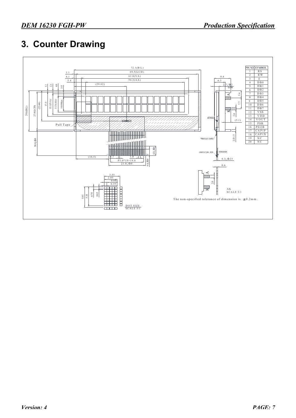### **3. Counter Drawing**

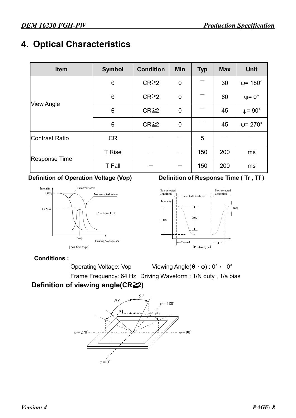### **4. Optical Characteristics**

| Item                  | <b>Symbol</b>         | <b>Condition</b> | <b>Min</b>                             | <b>Typ</b>                                                  | <b>Max</b>         | <b>Unit</b>             |
|-----------------------|-----------------------|------------------|----------------------------------------|-------------------------------------------------------------|--------------------|-------------------------|
|                       | $\boldsymbol{\theta}$ | $CR \geq 2$      | $\mathbf 0$                            |                                                             | 30                 | $\psi$ = 180 $^{\circ}$ |
|                       | $\theta$              | $CR \geq 2$      | $\mathbf 0$                            | 60<br>45<br>45<br>5<br>200<br>150<br>ms<br>150<br>200<br>ms | $\psi = 0^{\circ}$ |                         |
| <b>View Angle</b>     | $\boldsymbol{\theta}$ | $CR \geq 2$      | 0                                      |                                                             |                    | $\psi$ = 90 $^{\circ}$  |
|                       | $\theta$              | $CR \geq 2$      | $\psi$ = 270 $^{\circ}$<br>$\mathbf 0$ |                                                             |                    |                         |
| <b>Contrast Ratio</b> | <b>CR</b>             |                  |                                        |                                                             |                    |                         |
|                       | <b>T</b> Rise         |                  |                                        |                                                             |                    |                         |
| <b>Response Time</b>  | <b>T</b> Fall         |                  |                                        |                                                             |                    |                         |



#### **Definition of Operation Voltage (Vop) Definition of Response Time (Tr, Tf)**



#### **Conditions :**

Operating Voltage: Vop Viewing Angle(θ, φ): 0°, 0°

Frame Frequency: 64 Hz Driving Waveform : 1/N duty , 1/a bias

#### **Definition of viewing angle(CR≧2)**

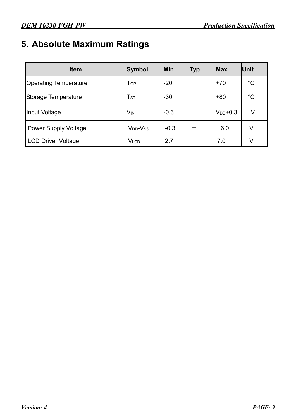# **5. Absolute Maximum Ratings**

| <b>Item</b>                  | Symbol                           | Min    | <b>Typ</b> | <b>Max</b>    | Unit        |
|------------------------------|----------------------------------|--------|------------|---------------|-------------|
| <b>Operating Temperature</b> | $\mathsf{T}_{\mathsf{OP}}$       | $-20$  |            | $+70$         | $^{\circ}C$ |
| Storage Temperature          | T <sub>ST</sub>                  | $-30$  |            | $+80$         | $^{\circ}C$ |
| Input Voltage                | <b>V<sub>IN</sub></b>            | $-0.3$ |            | $V_{DD}$ +0.3 | V           |
| <b>Power Supply Voltage</b>  | V <sub>DD</sub> -V <sub>ss</sub> | $-0.3$ |            | $+6.0$        | V           |
| <b>LCD Driver Voltage</b>    | <b>VLCD</b>                      | 2.7    |            | 7.0           | V           |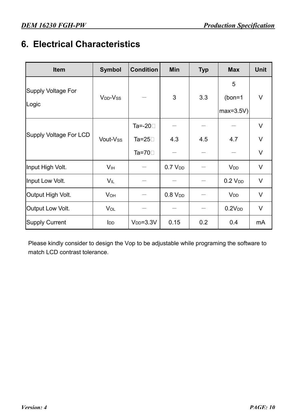## **6. Electrical Characteristics**

| <b>Item</b>                        | <b>Symbol</b>          | <b>Condition</b>                                       | <b>Min</b>          | <b>Typ</b> | <b>Max</b>                   | <b>Unit</b>           |
|------------------------------------|------------------------|--------------------------------------------------------|---------------------|------------|------------------------------|-----------------------|
| <b>Supply Voltage For</b><br>Logic | $V_{DD}$ - $V_{SS}$    |                                                        | 3                   | 3.3        | 5<br>$(bon=1)$<br>$max=3.5V$ | V                     |
| <b>Supply Voltage For LCD</b>      | Vout-Vss               | Ta=-20 $\square$<br>Ta=25 $\square$<br>Ta=70 $\square$ | 4.3                 | 4.5        | 4.7                          | V<br>$\vee$<br>$\vee$ |
| Input High Volt.                   | V <sub>IH</sub>        |                                                        | 0.7 V <sub>DD</sub> |            | <b>V</b> <sub>DD</sub>       | V                     |
| Input Low Volt.                    | VIL                    |                                                        |                     |            | 0.2 V <sub>DD</sub>          | V                     |
| Output High Volt.                  | <b>V</b> <sub>OH</sub> |                                                        | 0.8 V <sub>DD</sub> |            | <b>V<sub>DD</sub></b>        | V                     |
| Output Low Volt.                   | VOL                    |                                                        |                     |            | 0.2V <sub>DD</sub>           | V                     |
| <b>Supply Current</b>              | <b>I</b> <sub>DD</sub> | $VDD=3.3V$                                             | 0.15                | 0.2        | 0.4                          | mA                    |

Please kindly consider to design the Vop to be adjustable while programing the software to match LCD contrast tolerance.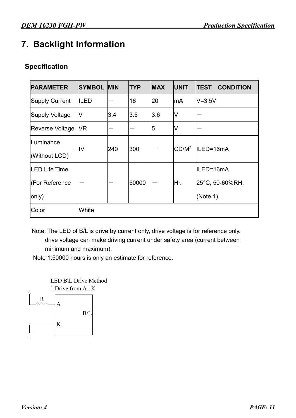# **7. Backlight Information**

#### **Specification**

| <b>PARAMETER</b>       | <b>SYMBOL MIN</b> |     | <b>TYP</b> | <b>MAX</b> | <b>UNIT</b>       | <b>CONDITION</b><br><b>TEST</b> |  |
|------------------------|-------------------|-----|------------|------------|-------------------|---------------------------------|--|
| <b>Supply Current</b>  | ILED              |     | 16         | 20         | lmA               | $V = 3.5V$                      |  |
| <b>Supply Voltage</b>  | V                 | 3.4 | 3.5        | 3.6        | V                 |                                 |  |
| <b>Reverse Voltage</b> | VR                |     |            | 5          | V                 |                                 |  |
| Luminance              | IV                | 240 | 300        |            | CD/M <sup>2</sup> | ILED=16mA                       |  |
| (Without LCD)          |                   |     |            |            |                   |                                 |  |
| <b>LED Life Time</b>   |                   |     |            |            |                   | ILED=16mA                       |  |
| (For Reference         |                   |     | 50000      |            | Hr.               | 25°C, 50-60%RH,                 |  |
| only)                  |                   |     |            |            |                   | (Note 1)                        |  |
| Color                  | White             |     |            |            |                   |                                 |  |

Note: The LED of B/L is drive by current only, drive voltage is for reference only. drive voltage can make driving current under safety area (current between minimum and maximum).

Note 1:50000 hours is only an estimate for reference.

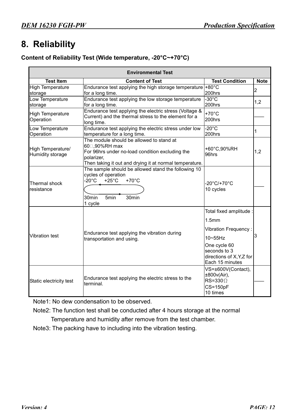#### **8. Reliability**

#### **Content of Reliability Test (Wide temperature, -20°C~+70°C)**

|                                       | <b>Environmental Test</b>                                                                                                                                                             |                                                                                                                                                                                |                |  |  |  |
|---------------------------------------|---------------------------------------------------------------------------------------------------------------------------------------------------------------------------------------|--------------------------------------------------------------------------------------------------------------------------------------------------------------------------------|----------------|--|--|--|
| <b>Test Item</b>                      | <b>Content of Test</b>                                                                                                                                                                | <b>Test Condition</b>                                                                                                                                                          | <b>Note</b>    |  |  |  |
| <b>High Temperature</b><br>storage    | Endurance test applying the high storage temperature +80°C<br>for a long time.                                                                                                        | 200hrs                                                                                                                                                                         | $\overline{2}$ |  |  |  |
| Low Temperature<br>storage            | Endurance test applying the low storage temperature<br>for a long time.                                                                                                               | $-30^{\circ}$ C<br>200hrs                                                                                                                                                      | 1,2            |  |  |  |
| <b>High Temperature</b><br>Operation  | Endurance test applying the electric stress (Voltage &<br>Current) and the thermal stress to the element for a<br>long time.                                                          | $+70^{\circ}$ C<br>200hrs                                                                                                                                                      |                |  |  |  |
| Low Temperature<br>Operation          | Endurance test applying the electric stress under low<br>temperature for a long time.                                                                                                 | $-20^{\circ}$ C<br>200hrs                                                                                                                                                      | 1              |  |  |  |
| High Temperature/<br>Humidity storage | The module should be allowed to stand at<br>60□,90%RH max<br>For 96hrs under no-load condition excluding the<br>polarizer,<br>Then taking it out and drying it at normal temperature. | +60°C,90%RH<br>96hrs                                                                                                                                                           | 1,2            |  |  |  |
| Thermal shock<br>resistance           | The sample should be allowed stand the following 10<br>cycles of operation<br>$-20^{\circ}$ C<br>$+70^{\circ}$ C<br>$+25^{\circ}$ C<br>30min<br>5 <sub>min</sub><br>30min<br>1 cycle  | $-20^{\circ}$ C/+70 $^{\circ}$ C<br>10 cycles                                                                                                                                  |                |  |  |  |
| <b>Vibration test</b>                 | Endurance test applying the vibration during<br>transportation and using.                                                                                                             | Total fixed amplitude :<br>1.5 <sub>mm</sub><br><b>Vibration Frequency:</b><br>$10 \sim 55$ Hz<br>One cycle 60<br>seconds to 3<br>directions of X, Y, Z for<br>Each 15 minutes | 3              |  |  |  |
| Static electricity test               | Endurance test applying the electric stress to the<br>terminal.                                                                                                                       | VS=±600V(Contact),<br>±800v(Air),<br>$RS = 330 \Omega$<br>$CS = 150pF$<br>10 times                                                                                             |                |  |  |  |

Note1: No dew condensation to be observed.

Note2: The function test shall be conducted after 4 hours storage at the normal

Temperature and humidity after remove from the test chamber.

Note3: The packing have to including into the vibration testing.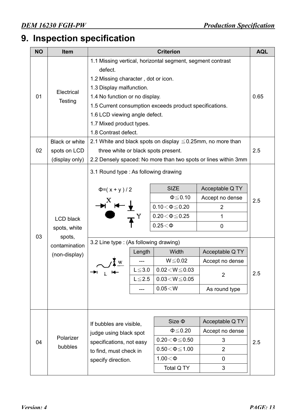# **9. Inspection specification**

| <b>NO</b> | <b>Item</b>                                                                  | <b>Criterion</b>                                                                                                                                                                                                                                                                                                           |                                       |                                                                                                                                                                                                       |                                                                                                                            |            |  |
|-----------|------------------------------------------------------------------------------|----------------------------------------------------------------------------------------------------------------------------------------------------------------------------------------------------------------------------------------------------------------------------------------------------------------------------|---------------------------------------|-------------------------------------------------------------------------------------------------------------------------------------------------------------------------------------------------------|----------------------------------------------------------------------------------------------------------------------------|------------|--|
| 01        | Electrical<br><b>Testing</b>                                                 | 1.1 Missing vertical, horizontal segment, segment contrast<br>defect.<br>1.2 Missing character, dot or icon.<br>1.3 Display malfunction.<br>1.4 No function or no display.<br>1.5 Current consumption exceeds product specifications.<br>1.6 LCD viewing angle defect.<br>1.7 Mixed product types.<br>1.8 Contrast defect. |                                       |                                                                                                                                                                                                       |                                                                                                                            |            |  |
| 02        | <b>Black or white</b><br>spots on LCD<br>(display only)                      | 2.1 White and black spots on display $\leq 0.25$ mm, no more than<br>three white or black spots present.<br>2.2 Densely spaced: No more than two spots or lines within 3mm                                                                                                                                                 |                                       |                                                                                                                                                                                                       |                                                                                                                            | 2.5        |  |
| 03        | <b>LCD black</b><br>spots, white<br>spots,<br>contamination<br>(non-display) | 3.1 Round type : As following drawing<br>$\Phi = (x + y)/2$<br>3.2 Line type: (As following drawing)<br>→∟ r—                                                                                                                                                                                                              | Length<br>$L \le 3.0$<br>$L \leq 2.5$ | <b>SIZE</b><br>$\Phi \leq 0.10$<br>$0.10\!<\!\Phi\!\leq\!0.20$<br>$0.20 \le \Phi \le 0.25$<br>$0.25<\Phi$<br>Width<br>$W \le 0.02$<br>$0.02\!<\!W\!\leq\!0.03$<br>$0.03 < W \le 0.05$<br>$0.05\!<\!W$ | Acceptable Q TY<br>Accept no dense<br>2<br>1<br>0<br>Acceptable Q TY<br>Accept no dense<br>$\overline{2}$<br>As round type | 2.5<br>2.5 |  |
| 04        | Polarizer<br>bubbles                                                         | If bubbles are visible,<br>judge using black spot<br>specifications, not easy<br>to find, must check in<br>specify direction.                                                                                                                                                                                              |                                       | Size $\Phi$<br>$\Phi \leq 0.20$<br>$0.20\!<\!\Phi\!\leq\!0.50$<br>$0.50\!<\!\Phi\!\leq\!1.00$<br>$1.00<\Phi$<br>Total Q TY                                                                            | Acceptable Q TY<br>Accept no dense<br>3<br>$\overline{2}$<br>0<br>3                                                        | 2.5        |  |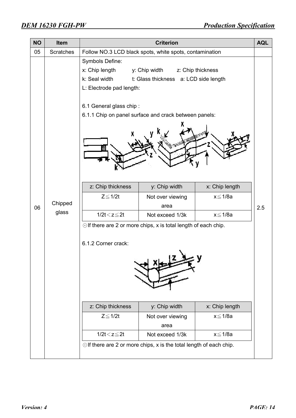| <b>NO</b> | Item                                     | <b>Criterion</b><br><b>AQL</b>                                                         |                                                                           |                   |     |  |  |
|-----------|------------------------------------------|----------------------------------------------------------------------------------------|---------------------------------------------------------------------------|-------------------|-----|--|--|
| 05        | <b>Scratches</b>                         |                                                                                        | Follow NO.3 LCD black spots, white spots, contamination                   |                   |     |  |  |
|           |                                          | <b>Symbols Define:</b><br>x: Chip length<br>k: Seal width<br>L: Electrode pad length:  | y: Chip width<br>t: Glass thickness a: LCD side length                    | z: Chip thickness |     |  |  |
|           |                                          | 6.1 General glass chip:                                                                |                                                                           |                   |     |  |  |
|           |                                          | 6.1.1 Chip on panel surface and crack between panels:                                  |                                                                           |                   |     |  |  |
|           |                                          |                                                                                        |                                                                           |                   |     |  |  |
|           |                                          | z: Chip thickness                                                                      | y: Chip width                                                             | x: Chip length    |     |  |  |
| 06        | Chipped                                  | $Z \leq 1/2t$                                                                          | Not over viewing<br>area                                                  | x≦1/8a            | 2.5 |  |  |
|           | glass                                    | $1/2t < z \leq 2t$                                                                     | Not exceed 1/3k                                                           | $x \leq 1/8a$     |     |  |  |
|           | 6.1.2 Corner crack:<br>z: Chip thickness | $\odot$ If there are 2 or more chips, x is total length of each chip.<br>y: Chip width | x: Chip length                                                            |                   |     |  |  |
|           |                                          | $Z \leq 1/2t$                                                                          |                                                                           | x≦1/8a            |     |  |  |
|           |                                          |                                                                                        | Not over viewing<br>area                                                  |                   |     |  |  |
|           |                                          | $1/2t < z \leq 2t$                                                                     | Not exceed 1/3k                                                           | x≦1/8a            |     |  |  |
|           |                                          |                                                                                        | $\odot$ If there are 2 or more chips, x is the total length of each chip. |                   |     |  |  |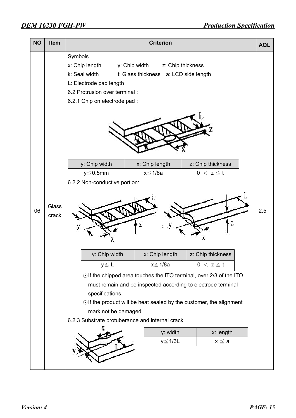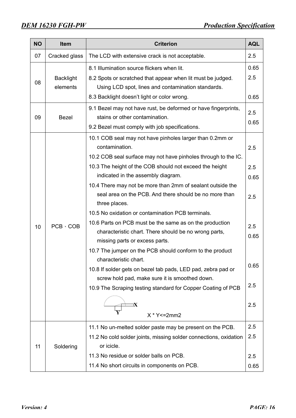| <b>NO</b> | <b>Item</b>                  | <b>AQL</b><br><b>Criterion</b>                                                                                                                                                                                                                                                                                                                                        |                           |  |  |  |
|-----------|------------------------------|-----------------------------------------------------------------------------------------------------------------------------------------------------------------------------------------------------------------------------------------------------------------------------------------------------------------------------------------------------------------------|---------------------------|--|--|--|
| 07        | Cracked glass                | The LCD with extensive crack is not acceptable.                                                                                                                                                                                                                                                                                                                       | 2.5                       |  |  |  |
| 08        | <b>Backlight</b><br>elements | 8.1 Illumination source flickers when lit.<br>8.2 Spots or scratched that appear when lit must be judged.<br>Using LCD spot, lines and contamination standards.                                                                                                                                                                                                       | 0.65<br>2.5               |  |  |  |
| 09        | <b>Bezel</b>                 | 8.3 Backlight doesn't light or color wrong.<br>9.1 Bezel may not have rust, be deformed or have fingerprints,<br>stains or other contamination.<br>9.2 Bezel must comply with job specifications.                                                                                                                                                                     | 0.65<br>2.5<br>0.65       |  |  |  |
|           |                              | 10.1 COB seal may not have pinholes larger than 0.2mm or<br>contamination.<br>10.2 COB seal surface may not have pinholes through to the IC.<br>10.3 The height of the COB should not exceed the height<br>indicated in the assembly diagram.<br>10.4 There may not be more than 2mm of sealant outside the<br>seal area on the PCB. And there should be no more than | 2.5<br>2.5<br>0.65        |  |  |  |
| 10        | $PCB \cdot COB$              | three places.<br>10.5 No oxidation or contamination PCB terminals.<br>10.6 Parts on PCB must be the same as on the production<br>characteristic chart. There should be no wrong parts,<br>missing parts or excess parts.<br>10.7 The jumper on the PCB should conform to the product<br>characteristic chart.                                                         | 2.5<br>2.5<br>0.65        |  |  |  |
|           |                              | 10.8 If solder gets on bezel tab pads, LED pad, zebra pad or<br>screw hold pad, make sure it is smoothed down.<br>10.9 The Scraping testing standard for Copper Coating of PCB<br>$X * Y \le 2mm2$                                                                                                                                                                    | 0.65<br>2.5<br>2.5        |  |  |  |
| 11        | Soldering                    | 11.1 No un-melted solder paste may be present on the PCB.<br>11.2 No cold solder joints, missing solder connections, oxidation<br>or icicle.<br>11.3 No residue or solder balls on PCB.<br>11.4 No short circuits in components on PCB.                                                                                                                               | 2.5<br>2.5<br>2.5<br>0.65 |  |  |  |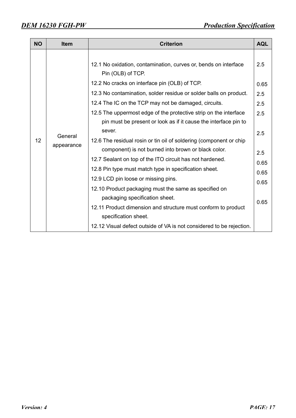| <b>NO</b> | <b>Item</b>           | <b>Criterion</b>                                                                                                                                                                                                                                                                                                                                                                                                                                                                                                                                                                                                                                                                                             | <b>AQL</b>                                                             |
|-----------|-----------------------|--------------------------------------------------------------------------------------------------------------------------------------------------------------------------------------------------------------------------------------------------------------------------------------------------------------------------------------------------------------------------------------------------------------------------------------------------------------------------------------------------------------------------------------------------------------------------------------------------------------------------------------------------------------------------------------------------------------|------------------------------------------------------------------------|
| 12        | General<br>appearance | 12.1 No oxidation, contamination, curves or, bends on interface<br>Pin (OLB) of TCP.<br>12.2 No cracks on interface pin (OLB) of TCP.<br>12.3 No contamination, solder residue or solder balls on product.<br>12.4 The IC on the TCP may not be damaged, circuits.<br>12.5 The uppermost edge of the protective strip on the interface<br>pin must be present or look as if it cause the interface pin to<br>sever.<br>12.6 The residual rosin or tin oil of soldering (component or chip<br>component) is not burned into brown or black color.<br>12.7 Sealant on top of the ITO circuit has not hardened.<br>12.8 Pin type must match type in specification sheet.<br>12.9 LCD pin loose or missing pins. | 2.5<br>0.65<br>2.5<br>2.5<br>2.5<br>2.5<br>2.5<br>0.65<br>0.65<br>0.65 |
|           |                       | 12.10 Product packaging must the same as specified on<br>packaging specification sheet.                                                                                                                                                                                                                                                                                                                                                                                                                                                                                                                                                                                                                      | 0.65                                                                   |
|           |                       | 12.11 Product dimension and structure must conform to product<br>specification sheet.<br>12.12 Visual defect outside of VA is not considered to be rejection.                                                                                                                                                                                                                                                                                                                                                                                                                                                                                                                                                |                                                                        |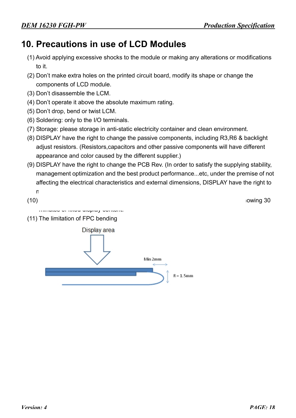### **10. Precautions in use of LCD Modules**

- (1) Avoid applying excessive shocks to the module or making any alterations or modifications to it.
- (2) Don't make extra holes on the printed circuit board, modify its shape or change the components of LCD module.
- (3) Don't disassemble the LCM.
- (4) Don't operate it above the absolute maximum rating.
- (5) Don't drop, bend or twist LCM.
- (6) Soldering: only to the I/O terminals.
- (7) Storage: please storage in anti-static electricity container and clean environment.
- (8) DISPLAY have the right to change the passive components, including R3,R6 & backlight adjust resistors. (Resistors,capacitors and other passive components will have different appearance and color caused by the different supplier.)
- (9) DISPLAY have the right to change the PCB Rev. (In order to satisfy the supplying stability, management optimization and the best product performance...etc, under the premise of not affecting the electrical characteristics and external dimensions, DISPLAY have the right to modify the version.)
- $(10)$  To ensure the stability of the stability of the display screen, please apply screen saver after showing 30 minutes of fixed display content.
- (11) The limitation of FPC bending

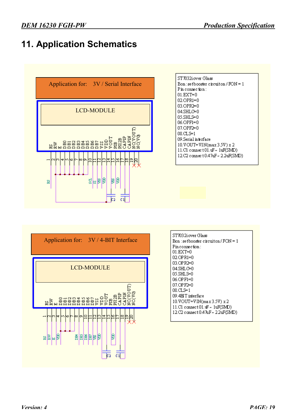# **11. Application Schematics**







| ST7032i over Glass                                                     |
|------------------------------------------------------------------------|
| $\operatorname{Bon}$ : setbooster circuiton / $\operatorname{FON} = 1$ |
| $Pinconnection$ :                                                      |
| 01.EXT=0                                                               |
| 02.OPR1=0                                                              |
| 03.OPR2=0                                                              |
| 04.SHLC=0                                                              |
| 05.SHL.S=0                                                             |
| 06.OPF1=0                                                              |
| 07.OPF2=0                                                              |
| O8 CLS=1                                                               |
| 09.4HT interface                                                       |
| 10.VOUT=VIN(max3.5V) x2                                                |
| 11.C1 connect 01.uF ~ 1uF(SMD)                                         |
| 12.C2 connect 0.47uF~22uF(SMD)                                         |
|                                                                        |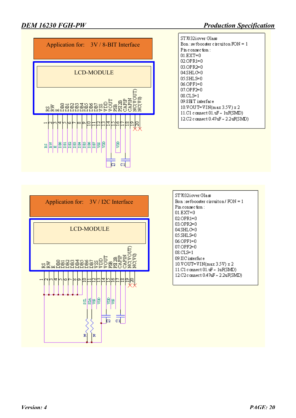

| ST7032iover Glass                     |
|---------------------------------------|
| Bon : se thooster circuiton $FON = 1$ |
| $P$ in connection :                   |
| 01.EXT=0                              |
| 02.OPR1=0                             |
| በ⊰ OPR2⊨በ                             |
| 04.SHLC⊨0                             |
| 05.SHLS⊨0                             |
| 06.OPF1=0                             |
| 07.OPF2=0                             |
| $08 \text{ CL}$ s $= 1$               |
| 09.8PLT interface                     |
| 10.VOUT=VIN(max 3.5V) x 2             |
| 11.C1 connect 01.uF ~ 1uF(SMD)        |
| 12.C2 connect 0.47uF ~ 2.2uF(SMD)     |



| ST7032ioverGlass<br>$\mathtt{Bon}$ : setbooster circuiton / $\mathtt{FON} = 1$ |
|--------------------------------------------------------------------------------|
| $\mathop{\mathrm{Pin}}\nolimits$ connection :                                  |
| $01.EXT{=}0$                                                                   |
| 02.OPR1=0                                                                      |
| 03.OPR2=0                                                                      |
| 04.SHLC⊨0                                                                      |
| 05.SHLS=0                                                                      |
| 06.OPF1=0                                                                      |
| 07.OPF2=0                                                                      |
| 08.CLS=1                                                                       |
| 09.IIC interface                                                               |
| 10.VOUT=VIN(max 3.5V) x 2                                                      |
| 11.C1 connect 01.uF ~ 1uF(SMD)                                                 |
| 12.C2 connect 0.47uF ~ 2.2uF(SMD)                                              |
|                                                                                |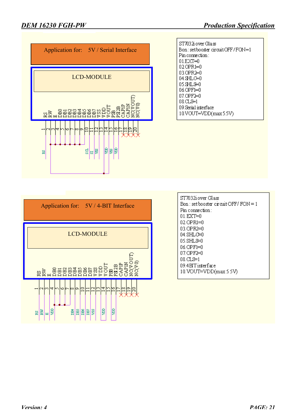





| ST7032iover Glass                      |
|----------------------------------------|
| $Bon: set booster$ circuit OFF/FON = 1 |
| $Pin$ connection:                      |
| በ1 F.XT≒በ                              |
| 02.OPR1=0                              |
| 03.OPR2=0                              |
| 04. SHLC=0                             |
| 05.SHLS≒0                              |
| በ6 OPF1=በ                              |
| 07 OPE≽0                               |
| 08 CLS≒1                               |
| 09.4EITinterface                       |
| 10.VOUT=VDD(max 5.5V)                  |
|                                        |